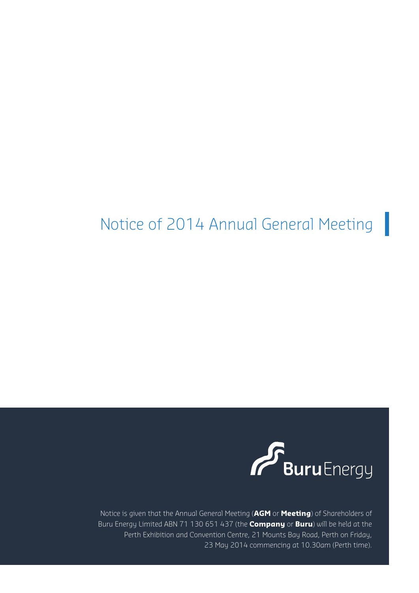# Notice of 2014 Annual General Meeting



Notice is given that the Annual General Meeting (**AGM** or **Meeting**) of Shareholders of Buru Energy Limited ABN 71 130 651 437 (the **Company** or **Buru**) will be held at the Perth Exhibition and Convention Centre, 21 Mounts Bay Road, Perth on Friday, 23 May 2014 commencing at 10.30am (Perth time).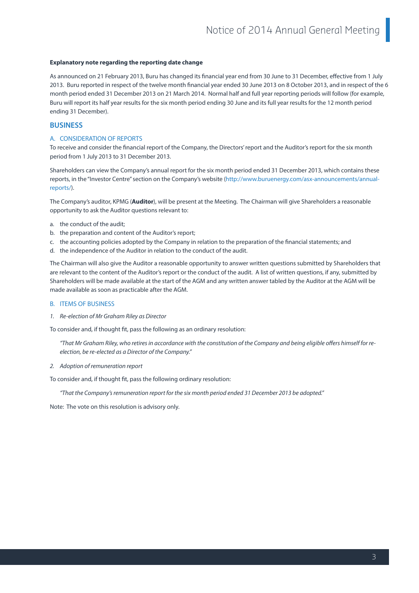#### **Explanatory note regarding the reporting date change**

As announced on 21 February 2013, Buru has changed its financial year end from 30 June to 31 December, effective from 1 July 2013. Buru reported in respect of the twelve month financial year ended 30 June 2013 on 8 October 2013, and in respect of the 6 month period ended 31 December 2013 on 21 March 2014. Normal half and full year reporting periods will follow (for example, Buru will report its half year results for the six month period ending 30 June and its full year results for the 12 month period ending 31 December).

#### **BUSINESS**

#### A. CONSIDERATION OF REPORTS

To receive and consider the financial report of the Company, the Directors' report and the Auditor's report for the six month period from 1 July 2013 to 31 December 2013.

Shareholders can view the Company's annual report for the six month period ended 31 December 2013, which contains these reports, in the "Investor Centre" section on the Company's website (http://www.buruenergy.com/asx-announcements/annualreports/).

The Company's auditor, KPMG (**Auditor**), will be present at the Meeting. The Chairman will give Shareholders a reasonable opportunity to ask the Auditor questions relevant to:

- a. the conduct of the audit;
- b. the preparation and content of the Auditor's report;
- c. the accounting policies adopted by the Company in relation to the preparation of the financial statements; and
- d. the independence of the Auditor in relation to the conduct of the audit.

The Chairman will also give the Auditor a reasonable opportunity to answer written questions submitted by Shareholders that are relevant to the content of the Auditor's report or the conduct of the audit. A list of written questions, if any, submitted by Shareholders will be made available at the start of the AGM and any written answer tabled by the Auditor at the AGM will be made available as soon as practicable after the AGM.

#### B. ITEMS OF BUSINESS

*1. Re-election of Mr Graham Riley as Director*

To consider and, if thought fit, pass the following as an ordinary resolution:

*"That Mr Graham Riley, who retires in accordance with the constitution of the Company and being eligible offers himself for reelection, be re-elected as a Director of the Company."*

*2. Adoption of remuneration report*

To consider and, if thought fit, pass the following ordinary resolution:

*"That the Company's remuneration report for the six month period ended 31 December 2013 be adopted."*

Note: The vote on this resolution is advisory only.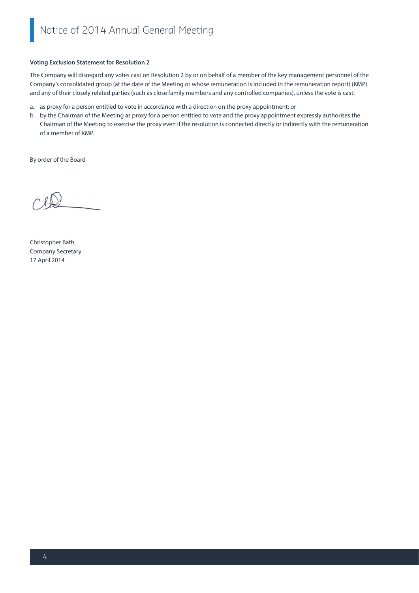#### **Voting Exclusion Statement for Resolution 2**

The Company will disregard any votes cast on Resolution 2 by or on behalf of a member of the key management personnel of the Company's consolidated group (at the date of the Meeting or whose remuneration is included in the remuneration report) (KMP) and any of their closely related parties (such as close family members and any controlled companies), unless the vote is cast:

- a. as proxy for a person entitled to vote in accordance with a direction on the proxy appointment; or
- b. by the Chairman of the Meeting as proxy for a person entitled to vote and the proxy appointment expressly authorises the Chairman of the Meeting to exercise the proxy even if the resolution is connected directly or indirectly with the remuneration of a member of KMP.

By order of the Board

Christopher Bath Company Secretary 17 April 2014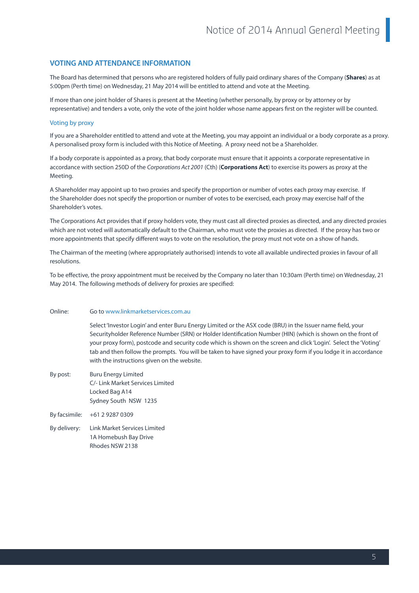### **VOTING AND ATTENDANCE INFORMATION**

The Board has determined that persons who are registered holders of fully paid ordinary shares of the Company (**Shares**) as at 5:00pm (Perth time) on Wednesday, 21 May 2014 will be entitled to attend and vote at the Meeting.

If more than one joint holder of Shares is present at the Meeting (whether personally, by proxy or by attorney or by representative) and tenders a vote, only the vote of the joint holder whose name appears first on the register will be counted.

#### Voting by proxy

If you are a Shareholder entitled to attend and vote at the Meeting, you may appoint an individual or a body corporate as a proxy. A personalised proxy form is included with this Notice of Meeting. A proxy need not be a Shareholder.

If a body corporate is appointed as a proxy, that body corporate must ensure that it appoints a corporate representative in accordance with section 250D of the *Corporations Act 2001* (Cth) (**Corporations Act**) to exercise its powers as proxy at the Meeting.

A Shareholder may appoint up to two proxies and specify the proportion or number of votes each proxy may exercise. If the Shareholder does not specify the proportion or number of votes to be exercised, each proxy may exercise half of the Shareholder's votes.

The Corporations Act provides that if proxy holders vote, they must cast all directed proxies as directed, and any directed proxies which are not voted will automatically default to the Chairman, who must vote the proxies as directed. If the proxy has two or more appointments that specify different ways to vote on the resolution, the proxy must not vote on a show of hands.

The Chairman of the meeting (where appropriately authorised) intends to vote all available undirected proxies in favour of all resolutions.

To be effective, the proxy appointment must be received by the Company no later than 10:30am (Perth time) on Wednesday, 21 May 2014. The following methods of delivery for proxies are specified:

#### Online: Go to www.linkmarketservices.com.au

 Select 'Investor Login' and enter Buru Energy Limited or the ASX code (BRU) in the Issuer name field, your Securityholder Reference Number (SRN) or Holder Identification Number (HIN) (which is shown on the front of your proxy form), postcode and security code which is shown on the screen and click 'Login'. Select the 'Voting' tab and then follow the prompts. You will be taken to have signed your proxy form if you lodge it in accordance with the instructions given on the website.

- By post: Buru Energy Limited C/- Link Market Services Limited Locked Bag A14 Sydney South NSW 1235
- By facsimile: +61 2 9287 0309
- By delivery: Link Market Services Limited 1A Homebush Bay Drive Rhodes NSW 2138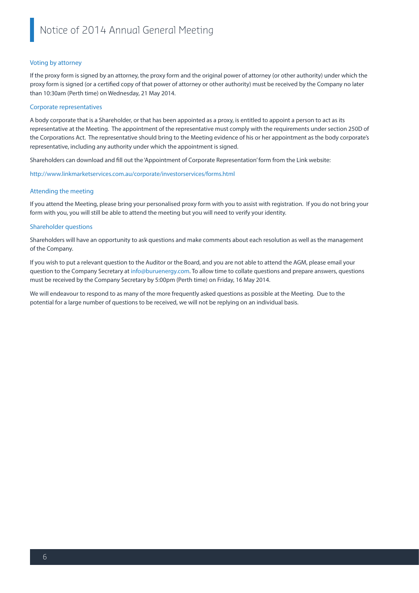#### Voting by attorney

If the proxy form is signed by an attorney, the proxy form and the original power of attorney (or other authority) under which the proxy form is signed (or a certified copy of that power of attorney or other authority) must be received by the Company no later than 10:30am (Perth time) on Wednesday, 21 May 2014.

#### Corporate representatives

A body corporate that is a Shareholder, or that has been appointed as a proxy, is entitled to appoint a person to act as its representative at the Meeting. The appointment of the representative must comply with the requirements under section 250D of the Corporations Act. The representative should bring to the Meeting evidence of his or her appointment as the body corporate's representative, including any authority under which the appointment is signed.

Shareholders can download and fill out the 'Appointment of Corporate Representation' form from the Link website:

http://www.linkmarketservices.com.au/corporate/investorservices/forms.html

#### Attending the meeting

If you attend the Meeting, please bring your personalised proxy form with you to assist with registration. If you do not bring your form with you, you will still be able to attend the meeting but you will need to verify your identity.

#### Shareholder questions

Shareholders will have an opportunity to ask questions and make comments about each resolution as well as the management of the Company.

If you wish to put a relevant question to the Auditor or the Board, and you are not able to attend the AGM, please email your question to the Company Secretary at info@buruenergy.com. To allow time to collate questions and prepare answers, questions must be received by the Company Secretary by 5:00pm (Perth time) on Friday, 16 May 2014.

We will endeavour to respond to as many of the more frequently asked questions as possible at the Meeting. Due to the potential for a large number of questions to be received, we will not be replying on an individual basis.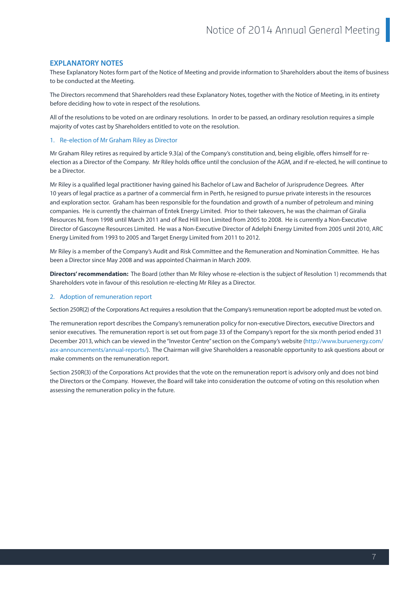### **EXPLANATORY NOTES**

These Explanatory Notes form part of the Notice of Meeting and provide information to Shareholders about the items of business to be conducted at the Meeting.

The Directors recommend that Shareholders read these Explanatory Notes, together with the Notice of Meeting, in its entirety before deciding how to vote in respect of the resolutions.

All of the resolutions to be voted on are ordinary resolutions. In order to be passed, an ordinary resolution requires a simple majority of votes cast by Shareholders entitled to vote on the resolution.

#### 1. Re-election of Mr Graham Riley as Director

Mr Graham Riley retires as required by article 9.3(a) of the Company's constitution and, being eligible, offers himself for reelection as a Director of the Company. Mr Riley holds office until the conclusion of the AGM, and if re-elected, he will continue to be a Director.

Mr Riley is a qualified legal practitioner having gained his Bachelor of Law and Bachelor of Jurisprudence Degrees. After 10 years of legal practice as a partner of a commercial firm in Perth, he resigned to pursue private interests in the resources and exploration sector. Graham has been responsible for the foundation and growth of a number of petroleum and mining companies. He is currently the chairman of Entek Energy Limited. Prior to their takeovers, he was the chairman of Giralia Resources NL from 1998 until March 2011 and of Red Hill Iron Limited from 2005 to 2008. He is currently a Non-Executive Director of Gascoyne Resources Limited. He was a Non-Executive Director of Adelphi Energy Limited from 2005 until 2010, ARC Energy Limited from 1993 to 2005 and Target Energy Limited from 2011 to 2012.

Mr Riley is a member of the Company's Audit and Risk Committee and the Remuneration and Nomination Committee. He has been a Director since May 2008 and was appointed Chairman in March 2009.

**Directors' recommendation:** The Board (other than Mr Riley whose re-election is the subject of Resolution 1) recommends that Shareholders vote in favour of this resolution re-electing Mr Riley as a Director.

#### 2. Adoption of remuneration report

Section 250R(2) of the Corporations Act requires a resolution that the Company's remuneration report be adopted must be voted on.

The remuneration report describes the Company's remuneration policy for non-executive Directors, executive Directors and senior executives. The remuneration report is set out from page 33 of the Company's report for the six month period ended 31 December 2013, which can be viewed in the "Investor Centre" section on the Company's website (http://www.buruenergy.com/ asx-announcements/annual-reports/). The Chairman will give Shareholders a reasonable opportunity to ask questions about or make comments on the remuneration report.

Section 250R(3) of the Corporations Act provides that the vote on the remuneration report is advisory only and does not bind the Directors or the Company. However, the Board will take into consideration the outcome of voting on this resolution when assessing the remuneration policy in the future.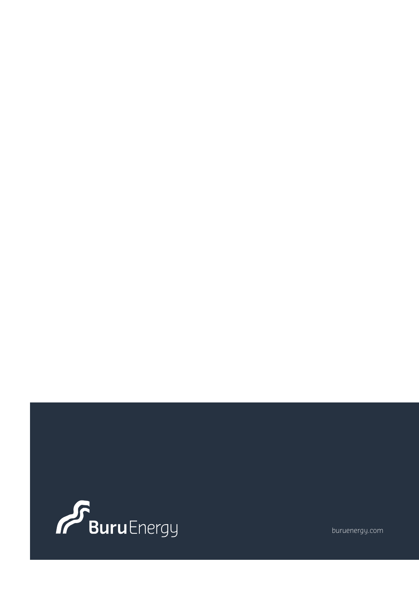

buruenergy.com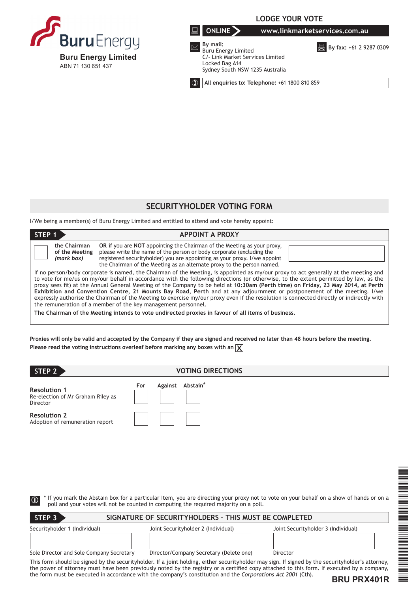

# **LODGE YOUR VOTE**

**ONLINE www.linkmarketservices.com.au**

 **By mail:** Buru Energy Limited C/- Link Market Services Limited Locked Bag A14 Sydney South NSW 1235 Australia

**B** By fax: +61 2 9287 0309

**All enquiries to: Telephone:** +61 1800 810 859

# **SECURITYHOLDER VOTING FORM**

I/We being a member(s) of Buru Energy Limited and entitled to attend and vote hereby appoint:

| STEP 1                                                                                                                                                                                                                                                                                                                                                                                                                                                                                                                                                                                                                                                                                                                                                                                                                                                        | <b>APPOINT A PROXY</b>                                                                                                                                                                                                                                                                                                |  |
|---------------------------------------------------------------------------------------------------------------------------------------------------------------------------------------------------------------------------------------------------------------------------------------------------------------------------------------------------------------------------------------------------------------------------------------------------------------------------------------------------------------------------------------------------------------------------------------------------------------------------------------------------------------------------------------------------------------------------------------------------------------------------------------------------------------------------------------------------------------|-----------------------------------------------------------------------------------------------------------------------------------------------------------------------------------------------------------------------------------------------------------------------------------------------------------------------|--|
| the Chairman<br>of the Meeting<br>(mark box)                                                                                                                                                                                                                                                                                                                                                                                                                                                                                                                                                                                                                                                                                                                                                                                                                  | <b>OR</b> if you are <b>NOT</b> appointing the Chairman of the Meeting as your proxy,<br>please write the name of the person or body corporate (excluding the<br>registered security holder) you are appointing as your proxy. I/we appoint<br>the Chairman of the Meeting as an alternate proxy to the person named. |  |
| If no person/body corporate is named, the Chairman of the Meeting, is appointed as my/our proxy to act generally at the meeting and<br>to vote for me/us on my/our behalf in accordance with the following directions (or otherwise, to the extent permitted by law, as the<br>proxy sees fit) at the Annual General Meeting of the Company to be held at 10:30am (Perth time) on Friday, 23 May 2014, at Perth<br>Exhibition and Convention Centre, 21 Mounts Bay Road, Perth and at any adjournment or postponement of the meeting. I/we<br>expressly authorise the Chairman of the Meeting to exercise my/our proxy even if the resolution is connected directly or indirectly with<br>the remuneration of a member of the key management personnel.<br>The Chairman of the Meeting intends to vote undirected proxies in favour of all items of business. |                                                                                                                                                                                                                                                                                                                       |  |

**Proxies will only be valid and accepted by the Company if they are signed and received no later than 48 hours before the meeting.** Please read the voting instructions overleaf before marking any boxes with an  $\chi$ 

| STEP 2                                                               | <b>VOTING DIRECTIONS</b>                                                              |                                                                                                                                       |
|----------------------------------------------------------------------|---------------------------------------------------------------------------------------|---------------------------------------------------------------------------------------------------------------------------------------|
| <b>Resolution 1</b><br>Re-election of Mr Graham Riley as<br>Director | Against Abstain*<br>For                                                               |                                                                                                                                       |
| <b>Resolution 2</b><br>Adoption of remuneration report               |                                                                                       |                                                                                                                                       |
|                                                                      |                                                                                       |                                                                                                                                       |
|                                                                      |                                                                                       |                                                                                                                                       |
| $\vert \mathbb{G} \vert$                                             | poll and your votes will not be counted in computing the required majority on a poll. | If you mark the Abstain box for a particular Item, you are directing your proxy not to vote on your behalf on a show of hands or on a |
| STEP <sub>3</sub>                                                    | SIGNATURE OF SECURITYHOLDERS - THIS MUST BE COMPLETED                                 |                                                                                                                                       |
| Securityholder 1 (Individual)                                        | Joint Securityholder 2 (Individual)                                                   | Joint Securityholder 3 (Individual)                                                                                                   |

\*BRU PRIN 1991 – PRIN 1991 – PRIN 1992 – PRIN 1992 – PRIN 1992 – PRIN 1992 – PRIN 1992 – PRIN 1992 – PRIN 1992<br>Demografia

Sole Director and Sole Company Secretary Director/Company Secretary (Delete one) Director

This form should be signed by the securityholder. If a joint holding, either securityholder may sign. If signed by the securityholder's attorney, the power of attorney must have been previously noted by the registry or a certified copy attached to this form. If executed by a company, the form must be executed in accordance with the company's constitution and the *Corporations Act 2001* (Cth).

**BRU PRX401R**